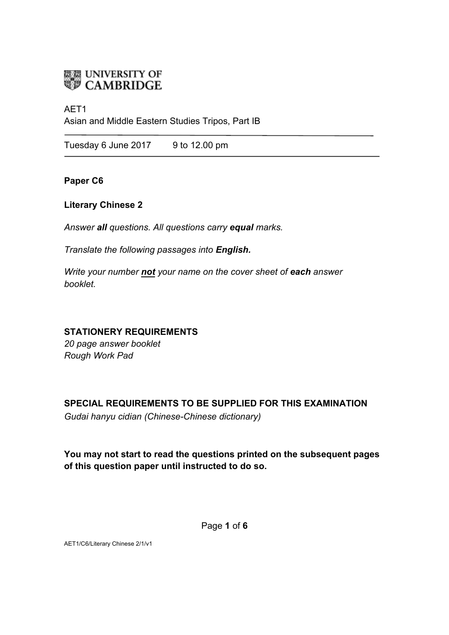

### AET1

Asian and Middle Eastern Studies Tripos, Part IB

Tuesday 6 June  $2017$  9 to 12.00 pm

## **Paper C6**

# **Literary Chinese 2**

*Answer all questions. All questions carry equal marks.*

*Translate the following passages into English.* 

*Write your number not your name on the cover sheet of each answer booklet.* 

# **STATIONERY REQUIREMENTS**

*20 page answer booklet Rough Work Pad*

# **SPECIAL REQUIREMENTS TO BE SUPPLIED FOR THIS EXAMINATION**

*Gudai hanyu cidian (Chinese-Chinese dictionary)*

**You may not start to read the questions printed on the subsequent pages of this question paper until instructed to do so.**

Page **1** of **6**

AET1/C6/Literary Chinese 2/1/v1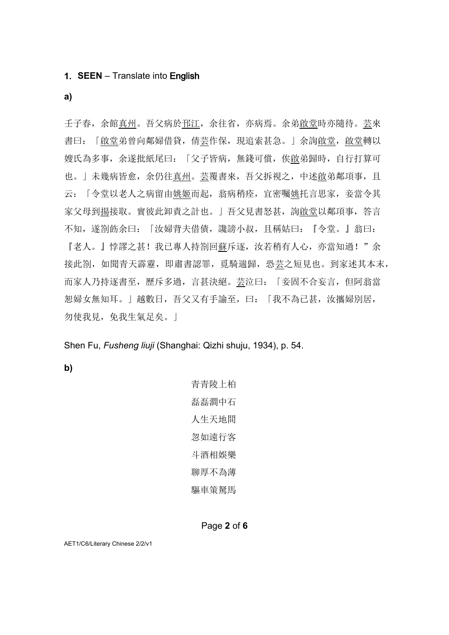### **1. SEEN** – Translate into English

**a)**

壬子春,余館真州。吾父病於邗江,余往省,亦病焉。余弟啟堂時亦隨待。芸來 書曰: 「啟堂弟曾向鄰婦借貸, 倩芸作保, 現追索甚急。」余詢啟堂, 啟堂轉以 嫂氏為多事,余遂批紙尾曰:「父子皆病,無錢可償,俟啟弟歸時,自行打算可 也。」未幾病皆愈,余仍往真州。芸覆書來,吾父拆視之,中述啟弟鄰項事,且 云:「令堂以老人之病留由姚姬而起,翁病稍痊,宜密囑姚托言思家,妾當令其 家父母到揚接取。實彼此卸責之計也。」吾父見書怒甚, 詢<u>啟堂</u>以鄰項事, 答言 不知,遂劄飭余曰:「汝婦背夫借債,讒謗小叔,且稱姑曰:『令堂。』翁曰: 『老人。』悖謬之甚!我已專人持劄回蘇斥逐,汝若稍有人心,亦當知過!"余 接此劄,如聞青天霹靂,即肅書認罪,覓騎遄歸,恐芸之短見也。到家述其本末, 而家人乃持逐書至, 歷斥多過, 言甚決絕。芸泣曰: 「妾固不合妄言, 但阿翁當 恕婦女無知耳。」越數日,吾父又有手諭至,曰:「我不為已甚,汝攜婦別居, 勿使我見,免我生氣足矣。」

Shen Fu, *Fusheng liuji* (Shanghai: Qizhi shuju, 1934), p. 54.

**b)**

青青陵上柏 磊磊澗中石 人生天地間 忽如遠行客 斗酒相娛樂 聊厚不為薄 驅車策駑馬

#### Page **2** of **6**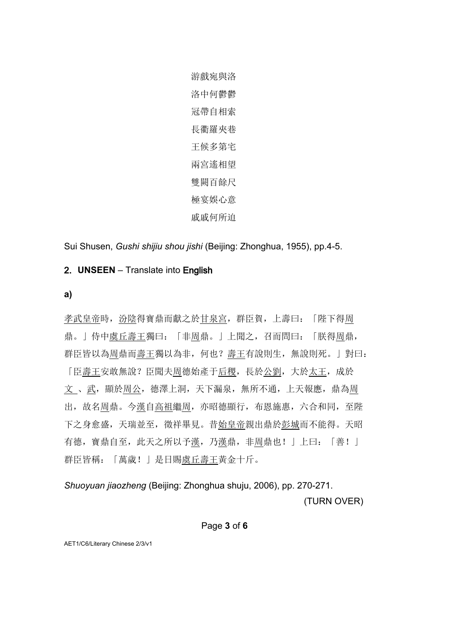游戲宛與洛 洛中何鬱鬱 冠帶自相索 長衢羅夾巷 王候多第宅 兩宮遙相望 雙闕百餘尺 極宴娛心意 戚戚何所迫

Sui Shusen, *Gushi shijiu shou jishi* (Beijing: Zhonghua, 1955), pp.4-5.

# 2. **UNSEEN** – Translate into English

### **a)**

孝武皇帝時,汾陰得寶鼎而獻之於甘泉宮,群臣賀,上壽曰:「陛下得周 鼎。」侍中虞丘壽王獨曰:「非周鼎。」上聞之,召而問曰:「朕得周鼎, 群臣皆以為周鼎而壽王獨以為非,何也?壽王有說則生,無說則死。」對曰: 「臣壽王安敢無說?臣聞夫周德始產于后稷,長於公劉,大於太王,成於 文、武,顯於周公,德澤上洞,天下漏泉,無所不通,上天報應,鼎為周 出,故名周鼎。今漢自高祖繼周,亦昭德顯行,布恩施惠,六合和同,至陛 下之身愈盛,天瑞並至,徵祥畢見。昔始皇帝親出鼎於彭城而不能得。天昭 有德,寶鼎自至,此天之所以予漢,乃漢鼎,非周鼎也!」上曰:「善!」 群臣皆稱:「萬歲!」是日賜虞丘壽王黃金十斤。

*Shuoyuan jiaozheng* (Beijing: Zhonghua shuju, 2006), pp. 270-271. (TURN OVER)

#### Page **3** of **6**

AET1/C6/Literary Chinese 2/3/v1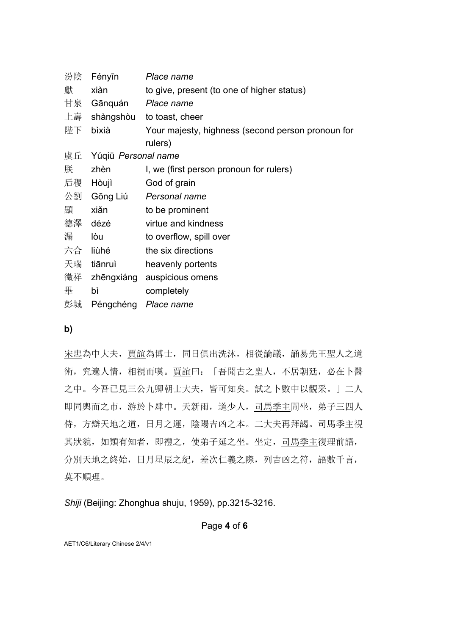| 汾陰 | Fényīn              | Place name                                        |
|----|---------------------|---------------------------------------------------|
| 獻  | xiàn                | to give, present (to one of higher status)        |
| 甘泉 | Gānquán Place name  |                                                   |
| 上壽 |                     | shàngshòu to toast, cheer                         |
| 陛下 | bìxià               | Your majesty, highness (second person pronoun for |
|    |                     | rulers)                                           |
| 虞丘 | Yúqiū Personal name |                                                   |
| 朕  | zhèn                | I, we (first person pronoun for rulers)           |
| 后稷 | Hòujì               | God of grain                                      |
| 公劉 | Gōng Liú            | Personal name                                     |
| 顯  | xiǎn                | to be prominent                                   |
| 德澤 | dézé                | virtue and kindness                               |
| 漏  | lòu                 | to overflow, spill over                           |
| 六合 | liùhé               | the six directions                                |
| 天瑞 | tiānruì             | heavenly portents                                 |
| 徵祥 | zhēngxiáng          | auspicious omens                                  |
| 畢  | bì                  | completely                                        |
| 彭城 | Péngchéng           | Place name                                        |

### **b)**

宋忠為中大夫,賈誼為博士,同日俱出洗沐,相從論議,誦易先王聖人之道 術,究遍人情,相視而嘆。賈誼曰:「吾聞古之聖人,不居朝廷,必在卜醫 之中。今吾已見三公九卿朝士大夫,皆可知矣。試之卜數中以觀采。」二人 即同輿而之市,游於卜肆中。天新雨,道少人,司馬季主閒坐,弟子三四人 侍,方辯天地之道,日月之運,陰陽吉凶之本。二大夫再拜謁。司馬季主視 其狀貌,如類有知者,即禮之,使弟子延之坐。坐定,司馬季主復理前語, 分別天地之終始,日月星辰之紀,差次仁義之際,列吉凶之符,語數千言, 莫不順理。

*Shiji* (Beijing: Zhonghua shuju, 1959), pp.3215-3216.

## Page **4** of **6**

AET1/C6/Literary Chinese 2/4/v1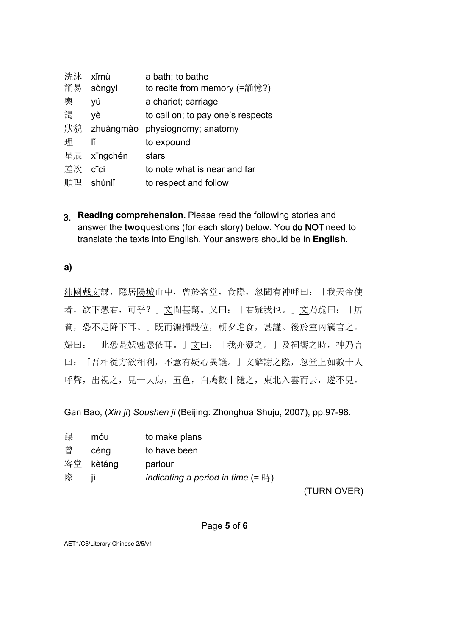| 洗沐 | xĭmù     | a bath; to bathe                  |
|----|----------|-----------------------------------|
| 誦易 | sòngyì   | to recite from memory (=誦憶?)      |
| 輿  | yú       | a chariot; carriage               |
| 謁  | νè       | to call on; to pay one's respects |
| 狀貌 |          | zhuàngmào physiognomy; anatomy    |
| 理  | lĭ       | to expound                        |
| 星辰 | xīngchén | stars                             |
| 差次 | cīcì     | to note what is near and far      |
| 順理 | shùnlǐ   | to respect and follow             |
|    |          |                                   |

3. **Reading comprehension.** Please read the following stories and answer the **two** questions (for each story) below. You do NOT need to translate the texts into English. Your answers should be in **English**.

**a)**

沛國戴文謀,隱居陽城山中,曾於客堂,食際,忽聞有神呼曰:「我天帝使 者,欲下憑君,可乎?」文聞甚驚。又曰:「君疑我也。」文乃跪曰:「居 貧,恐不足降下耳。」既而灑掃設位,朝夕進食,甚謹。後於室內竊言之。 婦曰:「此恐是妖魅憑依耳。」文曰:「我亦疑之。」及祠饗之時,神乃言 曰:「吾相從方欲相利,不意有疑心異議。」文辭謝之際,忽堂上如數十人 呼聲,出視之,見一大鳥,五色,白鳩數十隨之,東北入雲而去,遂不見。

Gan Bao, (*Xin ji*) *Soushen ji* (Beijing: Zhonghua Shuju, 2007), pp.97-98.

| 謀 | móu       | to make plans                                            |
|---|-----------|----------------------------------------------------------|
| 曾 | céng      | to have been                                             |
|   | 客堂 kètáng | parlour                                                  |
| 際 | Ħ         | indicating a period in time $(=\mathbb{F}^{\mathbb{N}})$ |
|   |           |                                                          |

(TURN OVER)

## Page **5** of **6**

AET1/C6/Literary Chinese 2/5/v1